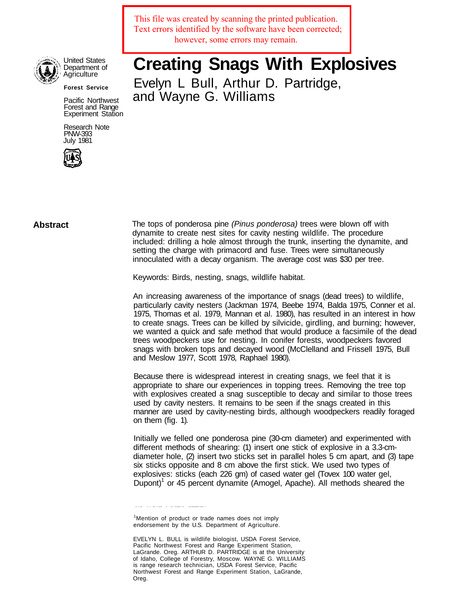This file was created by scanning the printed publication. Text errors identified by the software have been corrected; however, some errors may remain.



United States Department of Agriculture

**Forest Service**

Pacific Northwest Forest and Range Experiment Station

Research Note PNW-393 July 1981



**Creating Snags With Explosives** Evelyn L Bull, Arthur D. Partridge, and Wayne G. Williams

**Abstract** The tops of ponderosa pine (Pinus ponderosa) trees were blown off with dynamite to create nest sites for cavity nesting wildlife. The procedure included: drilling a hole almost through the trunk, inserting the dynamite, and setting the charge with primacord and fuse. Trees were simultaneously innoculated with a decay organism. The average cost was \$30 per tree.

Keywords: Birds, nesting, snags, wildlife habitat.

An increasing awareness of the importance of snags (dead trees) to wildlife, particularly cavity nesters (Jackman 1974, Beebe 1974, Balda 1975, Conner et al. 1975, Thomas et al. 1979, Mannan et al. 1980), has resulted in an interest in how to create snags. Trees can be killed by silvicide, girdling, and burning; however, we wanted a quick and safe method that would produce a facsimile of the dead trees woodpeckers use for nesting. In conifer forests, woodpeckers favored snags with broken tops and decayed wood (McClelland and Frissell 1975, Bull and Meslow 1977, Scott 1978, Raphael 1980).

Because there is widespread interest in creating snags, we feel that it is appropriate to share our experiences in topping trees. Removing the tree top with explosives created a snag susceptible to decay and similar to those trees used by cavity nesters. It remains to be seen if the snags created in this manner are used by cavity-nesting birds, although woodpeckers readily foraged on them (fig. 1).

Initially we felled one ponderosa pine (30-cm diameter) and experimented with different methods of shearing: (1) insert one stick of explosive in a 3.3-cmdiameter hole, (2) insert two sticks set in parallel holes 5 cm apart, and (3) tape six sticks opposite and 8 cm above the first stick. We used two types of explosives: sticks (each 226 gm) of cased water gel (Tovex 100 water gel, Dupont)<sup>1</sup> or 45 percent dynamite (Amogel, Apache). All methods sheared the

<sup>1</sup>Mention of product or trade names does not imply endorsement by the U.S. Department of Agriculture.

<u> 2020 - 2020 - 2020 - 2020 - 2020 - 2020 - 2020 - 2020 - 2020 - 2020 - 2020 - 2020 - 2020 - 2020 - 2020 - 2020 - 20</u>

EVELYN L. BULL is wildlife biologist, USDA Forest Service, Pacific Northwest Forest and Range Experiment Station, LaGrande. Oreg. ARTHUR D. PARTRIDGE is at the University of Idaho, College of Forestry, Moscow. WAYNE G. WILLIAMS is range research technician, USDA Forest Service, Pacific Northwest Forest and Range Experiment Station, LaGrande, Oreg.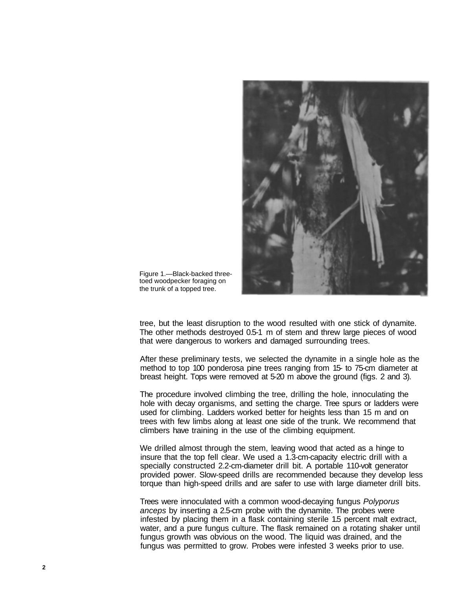

Figure 1.—Black-backed threetoed woodpecker foraging on the trunk of a topped tree.

tree, but the least disruption to the wood resulted with one stick of dynamite. The other methods destroyed 0.5-1 m of stem and threw large pieces of wood that were dangerous to workers and damaged surrounding trees.

After these preliminary tests, we selected the dynamite in a single hole as the method to top 100 ponderosa pine trees ranging from 15- to 75-cm diameter at breast height. Tops were removed at 5-20 m above the ground (figs. 2 and 3).

The procedure involved climbing the tree, drilling the hole, innoculating the hole with decay organisms, and setting the charge. Tree spurs or ladders were used for climbing. Ladders worked better for heights less than 15 m and on trees with few limbs along at least one side of the trunk. We recommend that climbers have training in the use of the climbing equipment.

We drilled almost through the stem, leaving wood that acted as a hinge to insure that the top fell clear. We used a 1.3-cm-capacity electric drill with a specially constructed 2.2-cm-diameter drill bit. A portable 110-volt generator provided power. Slow-speed drills are recommended because they develop less torque than high-speed drills and are safer to use with large diameter drill bits.

Trees were innoculated with a common wood-decaying fungus Polyporus anceps by inserting a 2.5-cm probe with the dynamite. The probes were infested by placing them in a flask containing sterile 1.5 percent malt extract, water, and a pure fungus culture. The flask remained on a rotating shaker until fungus growth was obvious on the wood. The liquid was drained, and the fungus was permitted to grow. Probes were infested 3 weeks prior to use.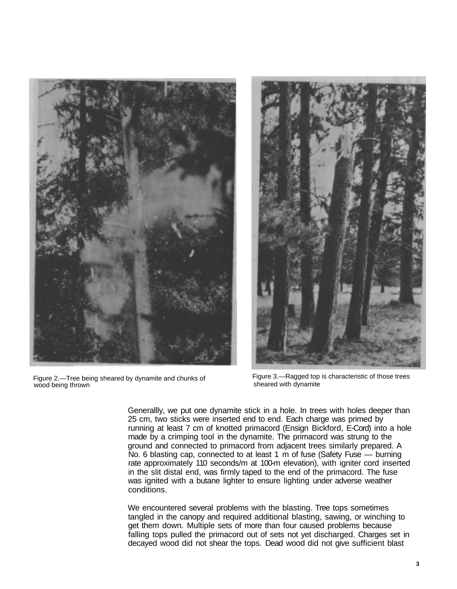

Figure 2.—Tree being sheared by dynamite and chunks of wood being thrown



Figure 3.—Ragged top is characteristic of those trees sheared with dynamite

Generallly, we put one dynamite stick in a hole. In trees with holes deeper than 25 cm, two sticks were inserted end to end. Each charge was primed by running at least 7 cm of knotted primacord (Ensign Bickford, E-Cord) into a hole made by a crimping tool in the dynamite. The primacord was strung to the ground and connected to primacord from adjacent trees similarly prepared. A No. 6 blasting cap, connected to at least 1 m of fuse (Safety Fuse — burning rate approximately 110 seconds/m at 100-m elevation), with igniter cord inserted in the slit distal end, was firmly taped to the end of the primacord. The fuse was ignited with a butane lighter to ensure lighting under adverse weather conditions.

We encountered several problems with the blasting. Tree tops sometimes tangled in the canopy and required additional blasting, sawing, or winching to get them down. Multiple sets of more than four caused problems because falling tops pulled the primacord out of sets not yet discharged. Charges set in decayed wood did not shear the tops. Dead wood did not give sufficient blast